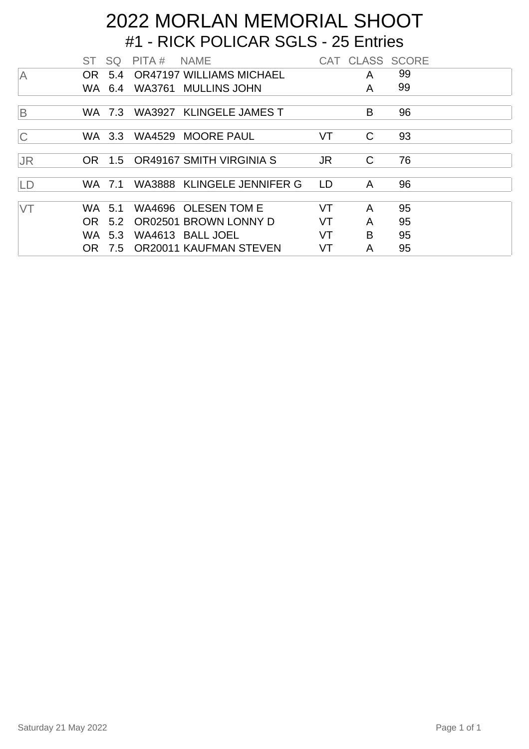## #1 - RICK POLICAR SGLS - 25 Entries 2022 MORLAN MEMORIAL SHOOT

|                | ST SQ  |        | PITA # | <b>NAME</b>                     |           |   | CAT CLASS SCORE |  |
|----------------|--------|--------|--------|---------------------------------|-----------|---|-----------------|--|
| <b>A</b>       |        |        |        | OR 5.4 OR47197 WILLIAMS MICHAEL |           | A | 99              |  |
|                |        | WA 6.4 |        | WA3761 MULLINS JOHN             |           | A | 99              |  |
|                |        |        |        |                                 |           |   |                 |  |
| $\overline{B}$ |        | WA 7.3 |        | WA3927 KLINGELE JAMES T         |           | B | 96              |  |
|                |        |        |        |                                 |           |   |                 |  |
| $\overline{C}$ |        |        |        | WA 3.3 WA4529 MOORE PAUL        | VT        | C | 93              |  |
|                |        |        |        |                                 |           |   |                 |  |
| <b>JR</b>      |        |        |        | OR 1.5 OR49167 SMITH VIRGINIA S | JR.       | C | 76              |  |
|                |        |        |        |                                 |           |   |                 |  |
| LD             | WA 7.1 |        |        | WA3888 KLINGELE JENNIFER G      | <b>LD</b> | A | 96              |  |
|                |        |        |        |                                 |           |   |                 |  |
| <b>VT</b>      | WA.    | 5.1    |        | WA4696 OLESEN TOM E             | VT        | A | 95              |  |
|                | OR.    | 5.2    |        | OR02501 BROWN LONNY D           | VT        | A | 95              |  |
|                | WA 5.3 |        |        | WA4613 BALL JOEL                | VT        | B | 95              |  |
|                | OR 7.5 |        |        | <b>OR20011 KAUFMAN STEVEN</b>   | VT        | A | 95              |  |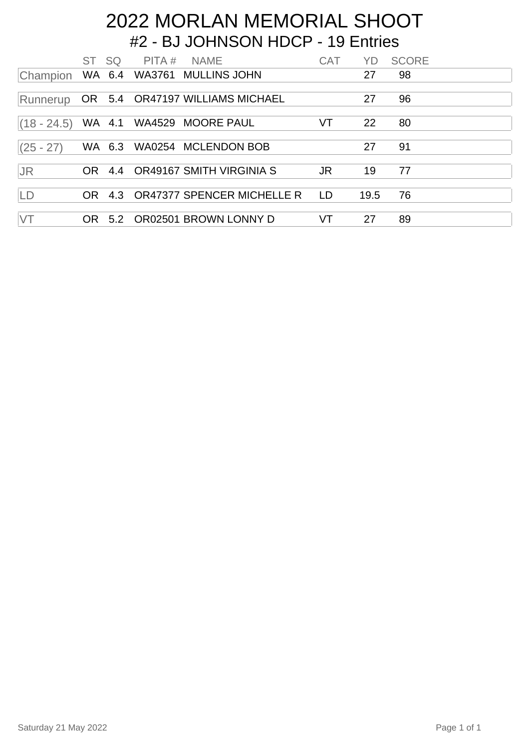#### #2 - BJ JOHNSON HDCP - 19 Entries 2022 MORLAN MEMORIAL SHOOT

|               | ST SQ |        | PITA # NAME |                                      | <b>CAT</b> | YD.  | <b>SCORE</b> |  |
|---------------|-------|--------|-------------|--------------------------------------|------------|------|--------------|--|
| Champion      |       |        |             | WA 6.4 WA3761 MULLINS JOHN           |            | 27   | 98           |  |
| Runnerup      |       |        |             | OR 5.4 OR47197 WILLIAMS MICHAEL      |            | 27   | 96           |  |
| $(18 - 24.5)$ |       | WA 4.1 |             | WA4529 MOORE PAUL                    | VT         | 22   | 80           |  |
| $(25 - 27)$   |       | WA 6.3 |             | WA0254 MCLENDON BOB                  |            | 27   | 91           |  |
| <b>JR</b>     |       |        |             | OR 4.4 OR49167 SMITH VIRGINIA S      | JR.        | 19   | 77           |  |
| LD            |       |        |             | OR 4.3 OR47377 SPENCER MICHELLE R LD |            | 19.5 | 76           |  |
| <b>VT</b>     | OR .  |        |             | 5.2 OR02501 BROWN LONNY D            | VT         | 27   | 89           |  |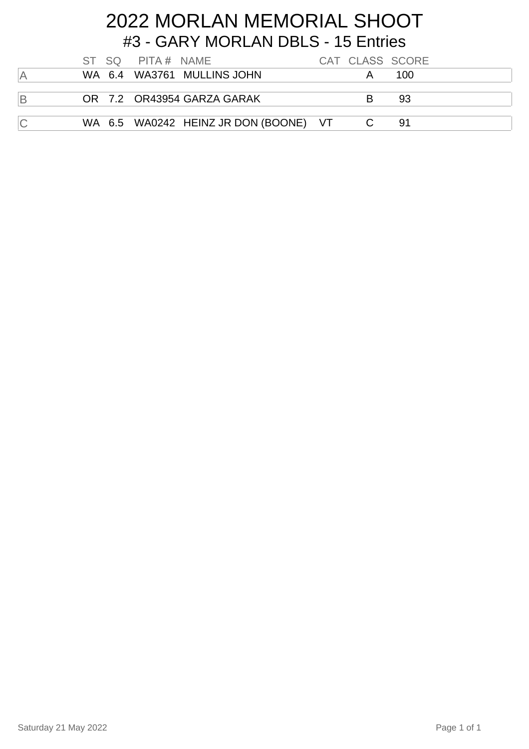## #3 - GARY MORLAN DBLS - 15 Entries 2022 MORLAN MEMORIAL SHOOT

|                |  | ST SQ PITA# NAME |                                       |   | CAT CLASS SCORE |
|----------------|--|------------------|---------------------------------------|---|-----------------|
| ΙA             |  |                  | WA 6.4 WA3761 MULLINS JOHN            |   | 100             |
| $\overline{B}$ |  |                  | OR 7.2 OR43954 GARZA GARAK            | R | 93              |
| $\overline{C}$ |  |                  | WA 6.5 WA0242 HEINZ JR DON (BOONE) VT |   | .91             |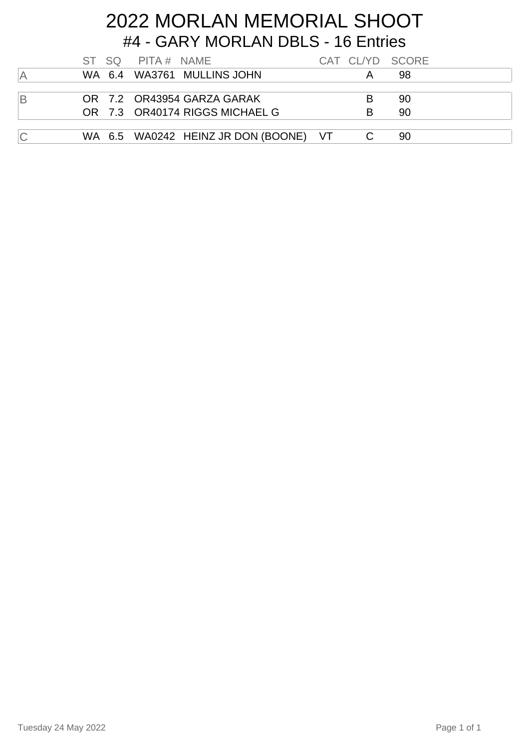## #4 - GARY MORLAN DBLS - 16 Entries 2022 MORLAN MEMORIAL SHOOT

|    |  | ST SQ PITA# NAME |                                         |   | CAT CL/YD SCORE |  |
|----|--|------------------|-----------------------------------------|---|-----------------|--|
| ΙA |  |                  | WA 6.4 WA3761 MULLINS JOHN              | A | .98             |  |
|    |  |                  |                                         |   |                 |  |
| ΙB |  |                  | OR 7.2 OR43954 GARZA GARAK              | B | -90             |  |
|    |  |                  | OR 7.3 OR40174 RIGGS MICHAEL G          | R | 90              |  |
|    |  |                  |                                         |   |                 |  |
| C  |  |                  | WA 6.5 WA0242 HEINZ JR DON (BOONE) VT C |   | -90             |  |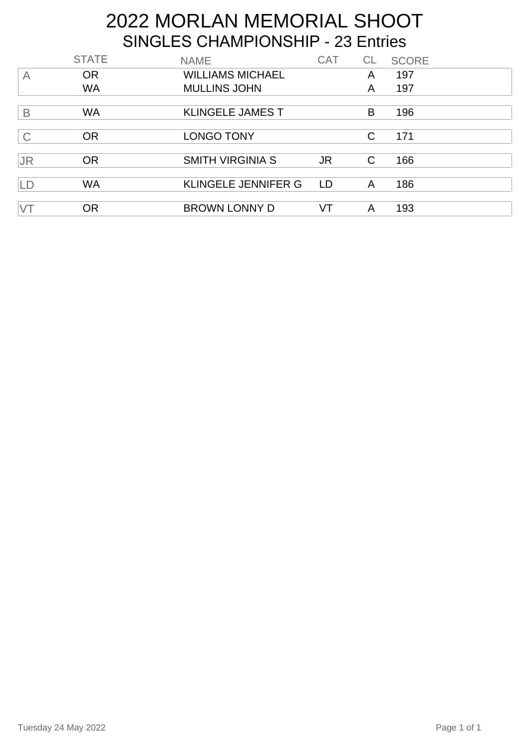# 2022 MORLAN MEMORIAL SHOOT SINGLES CHAMPIONSHIP - 23 Entries

|                | <b>STATE</b> | <b>NAME</b>                | <b>CAT</b> | <b>CL</b> | <b>SCORE</b> |
|----------------|--------------|----------------------------|------------|-----------|--------------|
| $\overline{A}$ | <b>OR</b>    | <b>WILLIAMS MICHAEL</b>    |            | A         | 197          |
|                | <b>WA</b>    | <b>MULLINS JOHN</b>        |            | A         | 197          |
|                |              |                            |            |           |              |
| B              | <b>WA</b>    | <b>KLINGELE JAMES T</b>    |            | B         | 196          |
|                |              |                            |            |           |              |
| $\mathsf C$    | <b>OR</b>    | LONGO TONY                 |            | C         | 171          |
|                |              |                            |            |           |              |
| <b>JR</b>      | <b>OR</b>    | <b>SMITH VIRGINIA S</b>    | JR.        | C         | 166          |
|                |              |                            |            |           |              |
| LD             | <b>WA</b>    | <b>KLINGELE JENNIFER G</b> | LD         | A         | 186          |
|                |              |                            |            |           |              |
| VT             | <b>OR</b>    | <b>BROWN LONNY D</b>       | VT         | A         | 193          |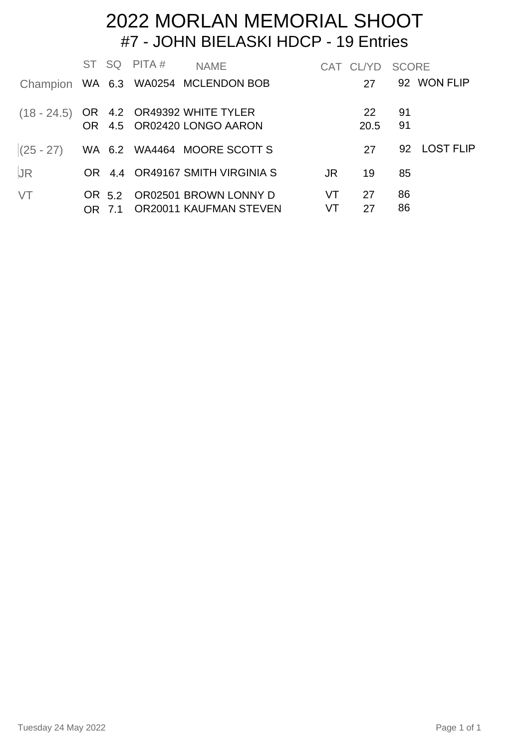#### #7 - JOHN BIELASKI HDCP - 19 Entries 2022 MORLAN MEMORIAL SHOOT

|           |  | ST SQ PITA# | <b>NAME</b>                                                            |                 | CAT CLYD SCORE       |          |              |
|-----------|--|-------------|------------------------------------------------------------------------|-----------------|----------------------|----------|--------------|
|           |  |             | Champion WA 6.3 WA0254 MCLENDON BOB                                    |                 | 27                   |          | 92 WON FLIP  |
|           |  |             | $(18 - 24.5)$ OR 4.2 OR49392 WHITE TYLER<br>OR 4.5 OR02420 LONGO AARON |                 | <b>22</b><br>20.5 91 | - 91     |              |
|           |  |             | $(25 - 27)$ WA 6.2 WA4464 MOORE SCOTT S                                |                 | 27                   |          | 92 LOST FLIP |
| <b>JR</b> |  |             | OR 4.4 OR49167 SMITH VIRGINIA S                                        | JR              | 19                   | 85       |              |
| VT        |  |             | OR 5.2 OR02501 BROWN LONNY D<br>OR 7.1 OR20011 KAUFMAN STEVEN          | VT<br><b>VT</b> | 27<br>27             | 86<br>86 |              |